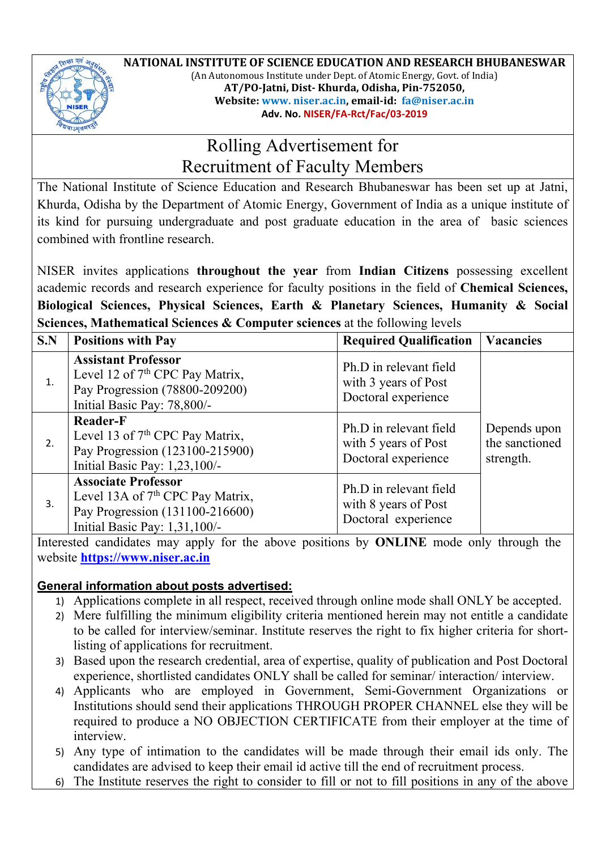

**NATIONAL INSTITUTE OF SCIENCE EDUCATION AND RESEARCH BHUBANESWAR** (An Autonomous Institute under Dept. of Atomic Energy, Govt. of India) **AT/PO-Jatni, Dist- Khurda, Odisha, Pin-752050, Website: www. niser.ac.in, email-id: fa@niser.ac.in Adv. No. NISER/FA-Rct/Fac/03-2019**

## Rolling Advertisement for Recruitment of Faculty Members

The National Institute of Science Education and Research Bhubaneswar has been set up at Jatni, Khurda, Odisha by the Department of Atomic Energy, Government of India as a unique institute of its kind for pursuing undergraduate and post graduate education in the area of basic sciences combined with frontline research.

NISER invites applications **throughout the year** from **Indian Citizens** possessing excellent academic records and research experience for faculty positions in the field of **Chemical Sciences, Biological Sciences, Physical Sciences, Earth & Planetary Sciences, Humanity & Social Sciences, Mathematical Sciences & Computer sciences** at the following levels

| S.N | <b>Positions with Pay</b>                                                                                                                      | <b>Required Qualification</b>                                         | <b>Vacancies</b>                            |
|-----|------------------------------------------------------------------------------------------------------------------------------------------------|-----------------------------------------------------------------------|---------------------------------------------|
| 1.  | <b>Assistant Professor</b><br>Level 12 of $7th$ CPC Pay Matrix,<br>Pay Progression (78800-209200)<br>Initial Basic Pay: 78,800/-               | Ph.D in relevant field<br>with 3 years of Post<br>Doctoral experience | Depends upon<br>the sanctioned<br>strength. |
| 2.  | <b>Reader-F</b><br>Level 13 of $7th$ CPC Pay Matrix,<br>Pay Progression (123100-215900)<br>Initial Basic Pay: 1,23,100/-                       | Ph.D in relevant field<br>with 5 years of Post<br>Doctoral experience |                                             |
| 3.  | <b>Associate Professor</b><br>Level 13A of 7 <sup>th</sup> CPC Pay Matrix,<br>Pay Progression (131100-216600)<br>Initial Basic Pay: 1,31,100/- | Ph.D in relevant field<br>with 8 years of Post<br>Doctoral experience |                                             |

Interested candidates may apply for the above positions by **ONLINE** mode only through the website **https://www.niser.ac.in**

## **General information about posts advertised:**

- 1) Applications complete in all respect, received through online mode shall ONLY be accepted.
- 2) Mere fulfilling the minimum eligibility criteria mentioned herein may not entitle a candidate to be called for interview/seminar. Institute reserves the right to fix higher criteria for shortlisting of applications for recruitment.
- 3) Based upon the research credential, area of expertise, quality of publication and Post Doctoral experience, shortlisted candidates ONLY shall be called for seminar/ interaction/ interview.
- 4) Applicants who are employed in Government, Semi-Government Organizations or Institutions should send their applications THROUGH PROPER CHANNEL else they will be required to produce a NO OBJECTION CERTIFICATE from their employer at the time of interview.
- 5) Any type of intimation to the candidates will be made through their email ids only. The candidates are advised to keep their email id active till the end of recruitment process.
- 6) The Institute reserves the right to consider to fill or not to fill positions in any of the above